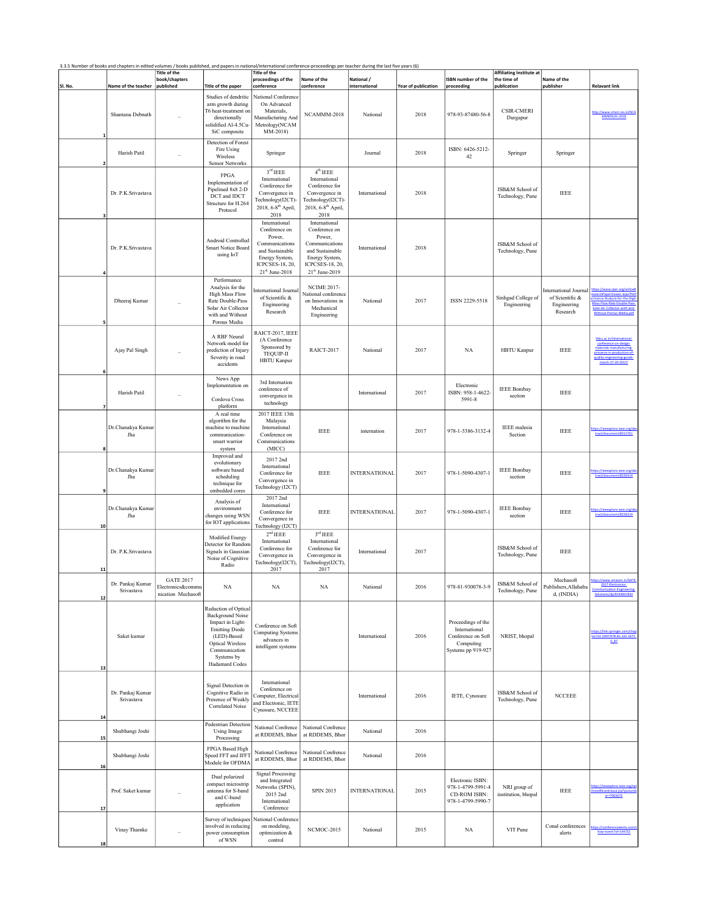|          | 3.3.5 Number of books and chapters in edited volumes / books published, and papers in national/international conference-proceedings per teacher during the last five years (6) | <b>Title of the</b><br>book/chapters                        |                                                                                                                                                                                  | <b>Title of the</b><br>proceedings of the                                                                                                | Name of the                                                                                                                              | National /           |                     | <b>ISBN</b> number of the                                                                    | Affiliating Institute at<br>the time of | Name of the                                                                |                                                                                           |
|----------|--------------------------------------------------------------------------------------------------------------------------------------------------------------------------------|-------------------------------------------------------------|----------------------------------------------------------------------------------------------------------------------------------------------------------------------------------|------------------------------------------------------------------------------------------------------------------------------------------|------------------------------------------------------------------------------------------------------------------------------------------|----------------------|---------------------|----------------------------------------------------------------------------------------------|-----------------------------------------|----------------------------------------------------------------------------|-------------------------------------------------------------------------------------------|
| SI. No.  | Name of the teacher                                                                                                                                                            | published                                                   | Title of the paper                                                                                                                                                               | conference                                                                                                                               | conference                                                                                                                               | international        | Year of publication | proceeding                                                                                   | publication                             | publisher                                                                  | <b>Relavant link</b>                                                                      |
|          | Shantanu Debnath                                                                                                                                                               |                                                             | Studies of dendritic<br>arm growth during<br>T6 heat-treatment on<br>directionally<br>solidified Al-4.5Cu-<br>SiC composite                                                      | <b>National Conference</b><br>On Advanced<br>Materials,<br>Manufacturing And<br>Metrology(NCAM<br>MM-2018)                               | NCAMMM-2018                                                                                                                              | National             | 2018                | 978-93-87480-56-8                                                                            | <b>CSIR-CMERI</b><br>Durgapur           |                                                                            | MMM%20-2018                                                                               |
|          | Harish Patil                                                                                                                                                                   |                                                             | Detection of Forest<br>Fire Using<br>Wireless<br><b>Sensor Networks</b>                                                                                                          | Springer                                                                                                                                 |                                                                                                                                          | Journal              | 2018                | ISBN: 6426-5212-<br>42                                                                       | Springer                                | Springer                                                                   |                                                                                           |
|          | Dr. P.K.Srivastava                                                                                                                                                             |                                                             | <b>FPGA</b><br>Implementation of<br>Pipelined 8x8 2-D<br>DCT and IDCT<br>Structure for H.264<br>Protocol                                                                         | 3 <sup>rd</sup> IEEE<br>International<br>Conference for<br>Convergence in<br>Technology(I2CT)-<br>2018, 6-8 <sup>th</sup> April,<br>2018 | 4 <sup>th</sup> IEEE<br>International<br>Conference for<br>Convergence in<br>Technology(I2CT)-<br>2018, 6-8 <sup>th</sup> April,<br>2018 | International        | 2018                |                                                                                              | ISB&M School of<br>Technology, Pune     | <b>IEEE</b>                                                                |                                                                                           |
|          | Dr. P.K.Srivastava                                                                                                                                                             |                                                             | Android Controlled<br>Smart Notice Board<br>using IoT                                                                                                                            | International<br>Conference on<br>Power,<br>Communications<br>and Sustainable<br>Energy System,<br>ICPCSES-18, 20,<br>$21st$ June-2018   | International<br>Conference on<br>Power,<br>Communications<br>and Sustainable<br>Energy System,<br>ICPCSES-18, 20,<br>$21st$ June-2019   | International        | 2018                |                                                                                              | ISB&M School of<br>Technology, Pune     |                                                                            |                                                                                           |
|          | Dheeraj Kumar                                                                                                                                                                  |                                                             | Performance<br>Analysis for the<br><b>High Mass Flow</b><br>Rate Double-Pass<br>Solar Air Collector<br>with and Without<br>Porous Media                                          | nternational Journal<br>of Scientific &<br>Engineering<br>Research                                                                       | <b>NCIME 2017-</b><br>National conference<br>on Innovations in<br>Mechanical<br>Engineering                                              | National             | 2017                | ISSN 2229-5518                                                                               | Sinhgad College of<br>Engineering       | <b>International Journal</b><br>of Scientific &<br>Engineering<br>Research | ttps://www.ijser.org/online<br>Mass-Flow-Rate-Double-Pass<br>Solar-Air-Collector-with-and |
|          | Ajay Pal Singh                                                                                                                                                                 |                                                             | A RBF Neural<br>Network model for<br>prediction of Injury<br>Severity in road<br>accidents                                                                                       | RAICT-2017, IEEE<br>(A Conference<br>Sponsored by<br>TEQUIP-II<br><b>HBTU Kanpur</b>                                                     | RAICT-2017                                                                                                                               | National             | 2017                | <b>NA</b>                                                                                    | <b>HBTU Kanpur</b>                      | <b>IEEE</b>                                                                | conference-on-design-<br>materials-manufacturing<br>march-27-29-2017/                     |
|          | Harish Patil                                                                                                                                                                   |                                                             | News App<br>Implementation on<br>Cordova Cross<br>platform                                                                                                                       | 3rd Internation<br>conference of<br>convergence in<br>technology                                                                         |                                                                                                                                          | International        | 2017                | Electronic<br>ISBN: 958-1-4622-<br>5991-8                                                    | <b>IEEE Bombay</b><br>section           | <b>IEEE</b>                                                                |                                                                                           |
|          | Dr.Chanakya Kumar<br>Jha                                                                                                                                                       |                                                             | A real time<br>algorithm for the<br>machine to machine<br>communication-<br>smart warrior<br>system                                                                              | 2017 IEEE 13th<br>Malaysia<br>International<br>Conference on<br>Communications<br>(MICC)                                                 | <b>IEEE</b>                                                                                                                              | internation          | 2017                | 978-1-5386-3132-4                                                                            | <b>IEEE</b> malesia<br>Section          | <b>IEEE</b>                                                                | ps://leeexplore.leee.org/a<br>tract/document/8311761                                      |
|          | Dr.Chanakya Kumar<br>Jha                                                                                                                                                       |                                                             | Improved and<br>evolutionary<br>software based<br>scheduling<br>technique for<br>embedded cores                                                                                  | 2017 2nd<br>International<br>Conference for<br>Convergence in<br>Technology (I2CT)                                                       | <b>IEEE</b>                                                                                                                              | <b>INTERNATIONAL</b> | 2017                | 978-1-5090-4307-1                                                                            | <b>IEEE Bombay</b><br>section           | <b>IEEE</b>                                                                | nent/8226314<br>tract/c                                                                   |
| 10       | Dr.Chanakya Kumar<br>Jha                                                                                                                                                       |                                                             | Analysis of<br>environment<br>changes using WSN<br>for IOT applications                                                                                                          | 2017 2nd<br>International<br>Conference for<br>Convergence in<br>Technology (I2CT)                                                       | <b>IEEE</b>                                                                                                                              | <b>INTERNATIONAL</b> | 2017                | 978-1-5090-4307-1                                                                            | <b>IEEE Bombay</b><br>section           | <b>IEEE</b>                                                                | tract/document/8226314                                                                    |
| 11       | Dr. P.K.Srivastava                                                                                                                                                             |                                                             | Modified Energy<br>Detector for Random<br>Signals in Gaussian<br>Noise of Cognitive<br>Radio                                                                                     | 2 <sup>nd</sup> IEEE<br>International<br>Conference for<br>Convergence in<br>Technology(I2CT),<br>2017                                   | 3 <sup>rd</sup> IEEE<br>International<br>Conference for<br>Convergence in<br>Technology(I2CT),<br>2017                                   | International        | 2017                |                                                                                              | ISB&M School of<br>Technology, Pune     | <b>IEEE</b>                                                                |                                                                                           |
| 12       | Dr. Pankaj Kumar<br>Srivastava                                                                                                                                                 | <b>GATE 2017</b><br>Electronics&commu<br>nication Mechasoft | NA                                                                                                                                                                               | NA                                                                                                                                       | NA                                                                                                                                       | National             | 2016                | 978-81-930078-3-9                                                                            | ISB&M School of<br>Technology, Pune     | Mechasoft<br>Publishers, Allahaba<br>d, (INDIA)                            | 2017-Electronics-<br>unication-Engin<br>Solutions/dp/8193007832                           |
| 13       | Saket kumar                                                                                                                                                                    |                                                             | Reduction of Optical<br>Background Noise<br>Impact in Light-<br><b>Emitting Diode</b><br>(LED)-Based<br><b>Optical Wireless</b><br>Communication<br>Systems by<br>Hadamard Codes | Conference on Soft<br><b>Computing Systems</b><br>advances in<br>intelligent systems                                                     |                                                                                                                                          | International        | 2016                | Proceedings of the<br>International<br>Conference on Soft<br>Computing<br>Systems pp 919-927 | NRIST, bhopal                           |                                                                            | ttps://link.springer.com/chap<br>er/10.1007/978-81-322-2671-<br>0.87                      |
|          | Dr. Pankaj Kumar<br>Srivastava                                                                                                                                                 |                                                             | Signal Detection in<br>Cognitive Radio in<br>Presence of Weakly<br>Correlated Noise                                                                                              | International<br>Conference on<br>Computer, Electrical<br>and Electronic, IETE<br>Cynosure, NCCEEE                                       |                                                                                                                                          | International        | 2016                | IETE, Cynosure                                                                               | ISB&M School of<br>Technology, Pune     | <b>NCCEEE</b>                                                              |                                                                                           |
| 14       | Shubhangi Joshi                                                                                                                                                                |                                                             | Pedestrian Detection<br><b>Using Image</b>                                                                                                                                       | National Confrence<br>at RDDEMS, Bhor                                                                                                    | National Confrence<br>at RDDEMS, Bhor                                                                                                    | National             | 2016                |                                                                                              |                                         |                                                                            |                                                                                           |
| 15<br>16 | Shubhangi Joshi                                                                                                                                                                |                                                             | Processing<br>FPGA Based High<br>Speed FFT and IFFT<br>Module for OFDMA                                                                                                          | National Confrence<br>at RDDEMS, Bhor                                                                                                    | National Confrence<br>at RDDEMS, Bhor                                                                                                    | National             | 2016                |                                                                                              |                                         |                                                                            |                                                                                           |
| 17       | Prof. Saket kumar                                                                                                                                                              |                                                             | Dual polarized<br>compact microstrip<br>antenna for S-band<br>and C-band<br>application                                                                                          | <b>Signal Processing</b><br>and Integrated<br>Networks (SPIN),<br>2015 2nd<br>International<br>Conference                                | SPIN 2015                                                                                                                                | <b>INTERNATIONAL</b> | 2015                | Electronic ISBN:<br>978-1-4799-5991-4<br>CD-ROM ISBN:<br>978-1-4799-5990-7                   | NRI group of<br>institution, bhopal     | <b>IEEE</b>                                                                | ntissue.jsp?p<br>er=7063673                                                               |
| 18       | Vinay Thamke                                                                                                                                                                   |                                                             | Survey of techniques<br>involved in reducing<br>power consumption<br>of WSN                                                                                                      | <b>Jational Conference</b><br>on modeling,<br>optimization &<br>control                                                                  | NCMOC-2015                                                                                                                               | National             | 2015                | NA                                                                                           | VIT Pune                                | Conal conferences<br>alerts                                                | how-event?id=144732                                                                       |